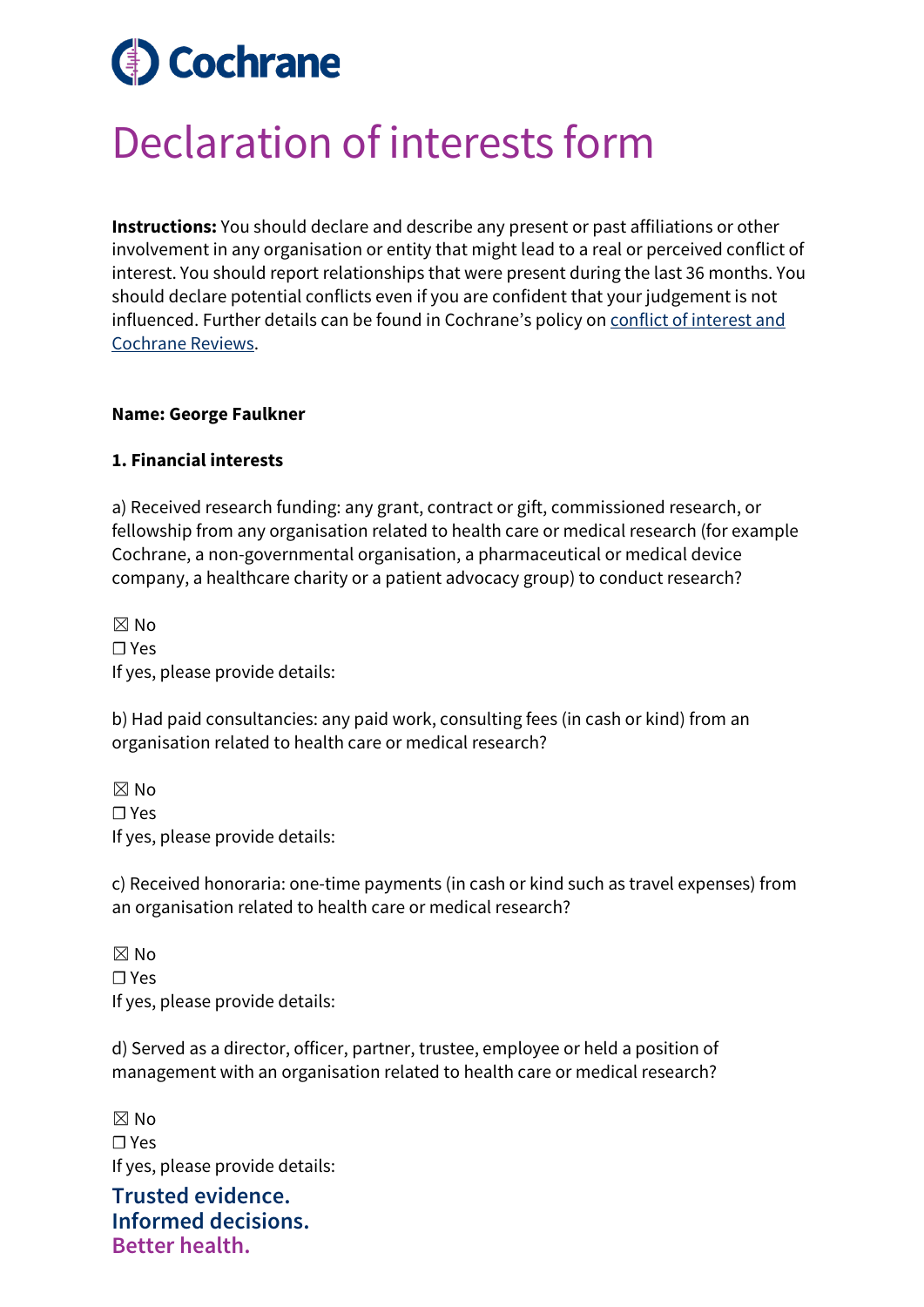# **Cochrane**

## Declaration of interests form

**Instructions:** You should declare and describe any present or past affiliations or other involvement in any organisation or entity that might lead to a real or perceived conflict of interest. You should report relationships that were present during the last 36 months. You should declare potential conflicts even if you are confident that your judgement is not influenced. Further details can be found in Cochrane's policy on [conflict of interest and](https://documentation.cochrane.org/display/EPPR/Policy%3A+conflicts+of+interest+and+Cochrane+Reviews)  [Cochrane Reviews.](https://documentation.cochrane.org/display/EPPR/Policy%3A+conflicts+of+interest+and+Cochrane+Reviews)

### **Name: George Faulkner**

### **1. Financial interests**

a) Received research funding: any grant, contract or gift, commissioned research, or fellowship from any organisation related to health care or medical research (for example Cochrane, a non-governmental organisation, a pharmaceutical or medical device company, a healthcare charity or a patient advocacy group) to conduct research?

☒ No ☐ Yes If yes, please provide details:

b) Had paid consultancies: any paid work, consulting fees (in cash or kind) from an organisation related to health care or medical research?

☒ No ☐ Yes If yes, please provide details:

c) Received honoraria: one-time payments (in cash or kind such as travel expenses) from an organisation related to health care or medical research?

 $\boxtimes$  No ☐ Yes If yes, please provide details:

d) Served as a director, officer, partner, trustee, employee or held a position of management with an organisation related to health care or medical research?

 $\boxtimes$  No ☐ Yes If yes, please provide details:

**Trusted evidence. Informed decisions. Better health.**